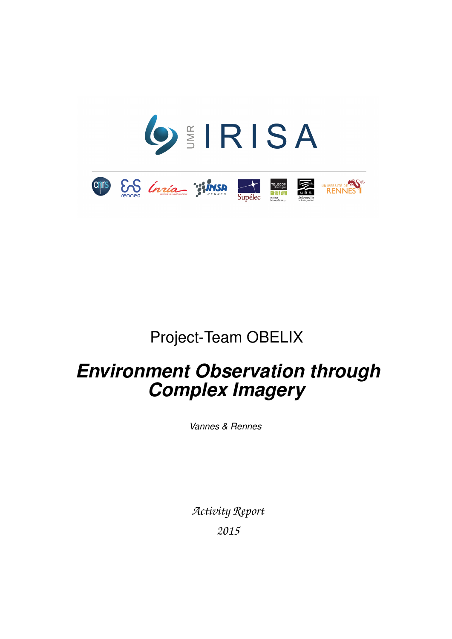

# Project-Team OBELIX

# *Environment Observation through Complex Imagery*

*Vannes & Rennes*

*Activity Report 2015*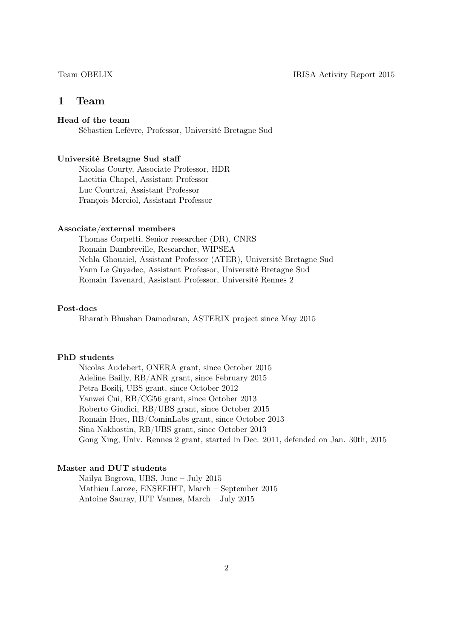# 1 Team

# Head of the team

Sébastien Lefèvre, Professor, Université Bretagne Sud

#### Université Bretagne Sud staff

Nicolas Courty, Associate Professor, HDR Laetitia Chapel, Assistant Professor Luc Courtrai, Assistant Professor François Merciol, Assistant Professor

# Associate/external members

Thomas Corpetti, Senior researcher (DR), CNRS Romain Dambreville, Researcher, WIPSEA Nehla Ghouaiel, Assistant Professor (ATER), Université Bretagne Sud Yann Le Guyadec, Assistant Professor, Université Bretagne Sud Romain Tavenard, Assistant Professor, Université Rennes 2

# Post-docs

Bharath Bhushan Damodaran, ASTERIX project since May 2015

### PhD students

Nicolas Audebert, ONERA grant, since October 2015 Adeline Bailly, RB/ANR grant, since February 2015 Petra Bosilj, UBS grant, since October 2012 Yanwei Cui, RB/CG56 grant, since October 2013 Roberto Giudici, RB/UBS grant, since October 2015 Romain Huet, RB/CominLabs grant, since October 2013 Sina Nakhostin, RB/UBS grant, since October 2013 Gong Xing, Univ. Rennes 2 grant, started in Dec. 2011, defended on Jan. 30th, 2015

### Master and DUT students

Nailya Bogrova, UBS, June – July 2015 Mathieu Laroze, ENSEEIHT, March – September 2015 Antoine Sauray, IUT Vannes, March – July 2015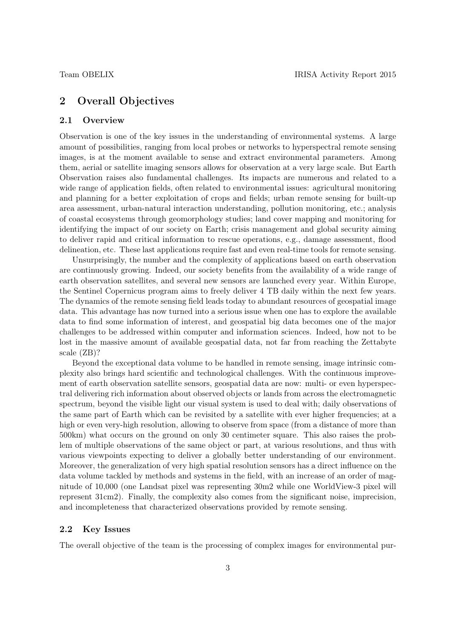# 2 Overall Objectives

### 2.1 Overview

Observation is one of the key issues in the understanding of environmental systems. A large amount of possibilities, ranging from local probes or networks to hyperspectral remote sensing images, is at the moment available to sense and extract environmental parameters. Among them, aerial or satellite imaging sensors allows for observation at a very large scale. But Earth Observation raises also fundamental challenges. Its impacts are numerous and related to a wide range of application fields, often related to environmental issues: agricultural monitoring and planning for a better exploitation of crops and fields; urban remote sensing for built-up area assessment, urban-natural interaction understanding, pollution monitoring, etc.; analysis of coastal ecosystems through geomorphology studies; land cover mapping and monitoring for identifying the impact of our society on Earth; crisis management and global security aiming to deliver rapid and critical information to rescue operations, e.g., damage assessment, flood delineation, etc. These last applications require fast and even real-time tools for remote sensing.

Unsurprisingly, the number and the complexity of applications based on earth observation are continuously growing. Indeed, our society benefits from the availability of a wide range of earth observation satellites, and several new sensors are launched every year. Within Europe, the Sentinel Copernicus program aims to freely deliver 4 TB daily within the next few years. The dynamics of the remote sensing field leads today to abundant resources of geospatial image data. This advantage has now turned into a serious issue when one has to explore the available data to find some information of interest, and geospatial big data becomes one of the major challenges to be addressed within computer and information sciences. Indeed, how not to be lost in the massive amount of available geospatial data, not far from reaching the Zettabyte scale (ZB)?

Beyond the exceptional data volume to be handled in remote sensing, image intrinsic complexity also brings hard scientific and technological challenges. With the continuous improvement of earth observation satellite sensors, geospatial data are now: multi- or even hyperspectral delivering rich information about observed objects or lands from across the electromagnetic spectrum, beyond the visible light our visual system is used to deal with; daily observations of the same part of Earth which can be revisited by a satellite with ever higher frequencies; at a high or even very-high resolution, allowing to observe from space (from a distance of more than 500km) what occurs on the ground on only 30 centimeter square. This also raises the problem of multiple observations of the same object or part, at various resolutions, and thus with various viewpoints expecting to deliver a globally better understanding of our environment. Moreover, the generalization of very high spatial resolution sensors has a direct influence on the data volume tackled by methods and systems in the field, with an increase of an order of magnitude of 10,000 (one Landsat pixel was representing 30m2 while one WorldView-3 pixel will represent 31cm2). Finally, the complexity also comes from the significant noise, imprecision, and incompleteness that characterized observations provided by remote sensing.

#### 2.2 Key Issues

The overall objective of the team is the processing of complex images for environmental pur-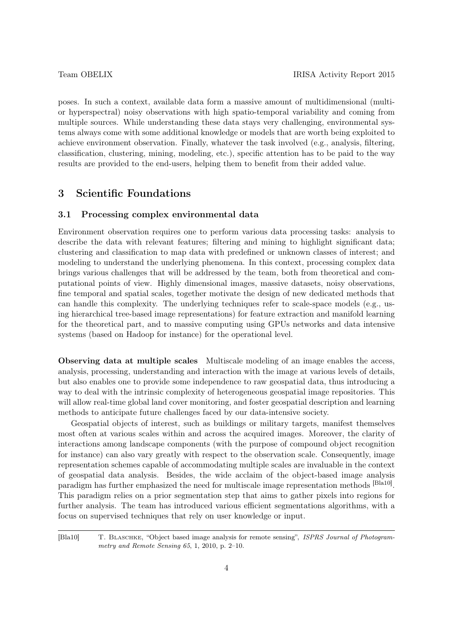poses. In such a context, available data form a massive amount of multidimensional (multior hyperspectral) noisy observations with high spatio-temporal variability and coming from multiple sources. While understanding these data stays very challenging, environmental systems always come with some additional knowledge or models that are worth being exploited to achieve environment observation. Finally, whatever the task involved (e.g., analysis, filtering, classification, clustering, mining, modeling, etc.), specific attention has to be paid to the way results are provided to the end-users, helping them to benefit from their added value.

# 3 Scientific Foundations

#### 3.1 Processing complex environmental data

Environment observation requires one to perform various data processing tasks: analysis to describe the data with relevant features; filtering and mining to highlight significant data; clustering and classification to map data with predefined or unknown classes of interest; and modeling to understand the underlying phenomena. In this context, processing complex data brings various challenges that will be addressed by the team, both from theoretical and computational points of view. Highly dimensional images, massive datasets, noisy observations, fine temporal and spatial scales, together motivate the design of new dedicated methods that can handle this complexity. The underlying techniques refer to scale-space models (e.g., using hierarchical tree-based image representations) for feature extraction and manifold learning for the theoretical part, and to massive computing using GPUs networks and data intensive systems (based on Hadoop for instance) for the operational level.

Observing data at multiple scales Multiscale modeling of an image enables the access, analysis, processing, understanding and interaction with the image at various levels of details, but also enables one to provide some independence to raw geospatial data, thus introducing a way to deal with the intrinsic complexity of heterogeneous geospatial image repositories. This will allow real-time global land cover monitoring, and foster geospatial description and learning methods to anticipate future challenges faced by our data-intensive society.

Geospatial objects of interest, such as buildings or military targets, manifest themselves most often at various scales within and across the acquired images. Moreover, the clarity of interactions among landscape components (with the purpose of compound object recognition for instance) can also vary greatly with respect to the observation scale. Consequently, image representation schemes capable of accommodating multiple scales are invaluable in the context of geospatial data analysis. Besides, the wide acclaim of the object-based image analysis paradigm has further emphasized the need for multiscale image representation methods [Bla10]. This paradigm relies on a prior segmentation step that aims to gather pixels into regions for further analysis. The team has introduced various efficient segmentations algorithms, with a focus on supervised techniques that rely on user knowledge or input.

[Bla10] T. Blaschke, "Object based image analysis for remote sensing", ISPRS Journal of Photogrammetry and Remote Sensing 65, 1, 2010, p. 2–10.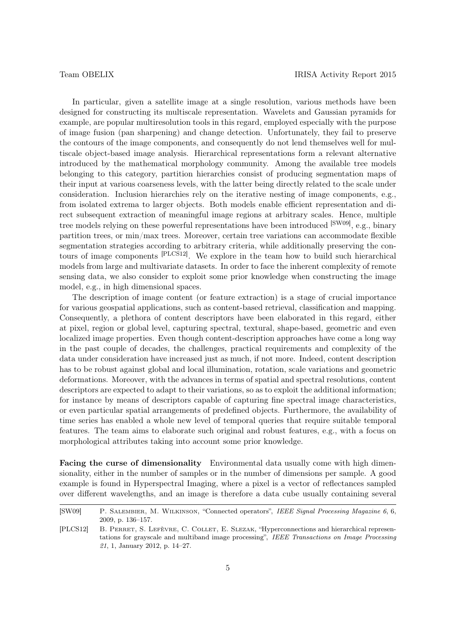In particular, given a satellite image at a single resolution, various methods have been designed for constructing its multiscale representation. Wavelets and Gaussian pyramids for example, are popular multiresolution tools in this regard, employed especially with the purpose of image fusion (pan sharpening) and change detection. Unfortunately, they fail to preserve the contours of the image components, and consequently do not lend themselves well for multiscale object-based image analysis. Hierarchical representations form a relevant alternative introduced by the mathematical morphology community. Among the available tree models belonging to this category, partition hierarchies consist of producing segmentation maps of their input at various coarseness levels, with the latter being directly related to the scale under consideration. Inclusion hierarchies rely on the iterative nesting of image components, e.g., from isolated extrema to larger objects. Both models enable efficient representation and direct subsequent extraction of meaningful image regions at arbitrary scales. Hence, multiple tree models relying on these powerful representations have been introduced [SW09], e.g., binary partition trees, or min/max trees. Moreover, certain tree variations can accommodate flexible segmentation strategies according to arbitrary criteria, while additionally preserving the contours of image components [PLCS12]. We explore in the team how to build such hierarchical models from large and multivariate datasets. In order to face the inherent complexity of remote sensing data, we also consider to exploit some prior knowledge when constructing the image model, e.g., in high dimensional spaces.

The description of image content (or feature extraction) is a stage of crucial importance for various geospatial applications, such as content-based retrieval, classification and mapping. Consequently, a plethora of content descriptors have been elaborated in this regard, either at pixel, region or global level, capturing spectral, textural, shape-based, geometric and even localized image properties. Even though content-description approaches have come a long way in the past couple of decades, the challenges, practical requirements and complexity of the data under consideration have increased just as much, if not more. Indeed, content description has to be robust against global and local illumination, rotation, scale variations and geometric deformations. Moreover, with the advances in terms of spatial and spectral resolutions, content descriptors are expected to adapt to their variations, so as to exploit the additional information; for instance by means of descriptors capable of capturing fine spectral image characteristics, or even particular spatial arrangements of predefined objects. Furthermore, the availability of time series has enabled a whole new level of temporal queries that require suitable temporal features. The team aims to elaborate such original and robust features, e.g., with a focus on morphological attributes taking into account some prior knowledge.

Facing the curse of dimensionality Environmental data usually come with high dimensionality, either in the number of samples or in the number of dimensions per sample. A good example is found in Hyperspectral Imaging, where a pixel is a vector of reflectances sampled over different wavelengths, and an image is therefore a data cube usually containing several

<sup>[</sup>SW09] P. Salembier, M. Wilkinson, "Connected operators", IEEE Signal Processing Magazine 6, 6, 2009, p. 136–157.

<sup>[</sup>PLCS12] B. Perret, S. Lefèvre, C. Collet, E. Slezak, "Hyperconnections and hierarchical representations for grayscale and multiband image processing", IEEE Transactions on Image Processing 21, 1, January 2012, p. 14–27.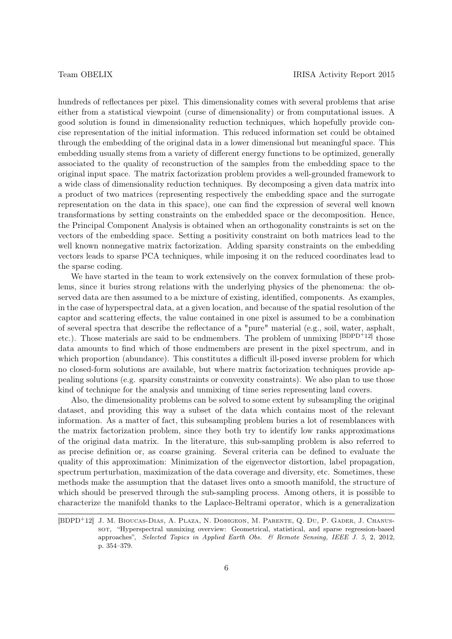hundreds of reflectances per pixel. This dimensionality comes with several problems that arise either from a statistical viewpoint (curse of dimensionality) or from computational issues. A good solution is found in dimensionality reduction techniques, which hopefully provide concise representation of the initial information. This reduced information set could be obtained through the embedding of the original data in a lower dimensional but meaningful space. This embedding usually stems from a variety of different energy functions to be optimized, generally associated to the quality of reconstruction of the samples from the embedding space to the original input space. The matrix factorization problem provides a well-grounded framework to a wide class of dimensionality reduction techniques. By decomposing a given data matrix into a product of two matrices (representing respectively the embedding space and the surrogate representation on the data in this space), one can find the expression of several well known transformations by setting constraints on the embedded space or the decomposition. Hence, the Principal Component Analysis is obtained when an orthogonality constraints is set on the vectors of the embedding space. Setting a positivity constraint on both matrices lead to the well known nonnegative matrix factorization. Adding sparsity constraints on the embedding vectors leads to sparse PCA techniques, while imposing it on the reduced coordinates lead to the sparse coding.

We have started in the team to work extensively on the convex formulation of these problems, since it buries strong relations with the underlying physics of the phenomena: the observed data are then assumed to a be mixture of existing, identified, components. As examples, in the case of hyperspectral data, at a given location, and because of the spatial resolution of the captor and scattering effects, the value contained in one pixel is assumed to be a combination of several spectra that describe the reflectance of a "pure" material (e.g., soil, water, asphalt, etc.). Those materials are said to be endmembers. The problem of unmixing [BDPD+12] those data amounts to find which of those endmembers are present in the pixel spectrum, and in which proportion (abundance). This constitutes a difficult ill-posed inverse problem for which no closed-form solutions are available, but where matrix factorization techniques provide appealing solutions (e.g. sparsity constraints or convexity constraints). We also plan to use those kind of technique for the analysis and unmixing of time series representing land covers.

Also, the dimensionality problems can be solved to some extent by subsampling the original dataset, and providing this way a subset of the data which contains most of the relevant information. As a matter of fact, this subsampling problem buries a lot of resemblances with the matrix factorization problem, since they both try to identify low ranks approximations of the original data matrix. In the literature, this sub-sampling problem is also referred to as precise definition or, as coarse graining. Several criteria can be defined to evaluate the quality of this approximation: Minimization of the eigenvector distortion, label propagation, spectrum perturbation, maximization of the data coverage and diversity, etc. Sometimes, these methods make the assumption that the dataset lives onto a smooth manifold, the structure of which should be preserved through the sub-sampling process. Among others, it is possible to characterize the manifold thanks to the Laplace-Beltrami operator, which is a generalization

<sup>[</sup>BDPD<sup>+</sup>12] J. M. Bioucas-Dias, A. Plaza, N. Dobigeon, M. Parente, Q. Du, P. Gader, J. Chanussot, "Hyperspectral unmixing overview: Geometrical, statistical, and sparse regression-based approaches", Selected Topics in Applied Earth Obs. & Remote Sensing, IEEE J. 5, 2, 2012, p. 354–379.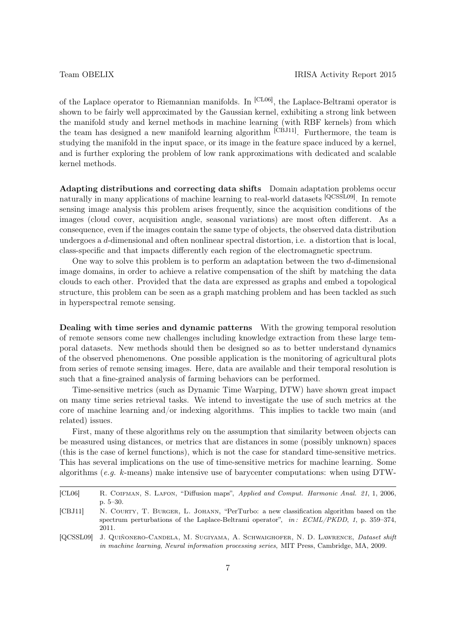of the Laplace operator to Riemannian manifolds. In [CL06], the Laplace-Beltrami operator is shown to be fairly well approximated by the Gaussian kernel, exhibiting a strong link between the manifold study and kernel methods in machine learning (with RBF kernels) from which the team has designed a new manifold learning algorithm [CBJ11]. Furthermore, the team is studying the manifold in the input space, or its image in the feature space induced by a kernel, and is further exploring the problem of low rank approximations with dedicated and scalable kernel methods.

Adapting distributions and correcting data shifts Domain adaptation problems occur naturally in many applications of machine learning to real-world datasets [QCSSL09]. In remote sensing image analysis this problem arises frequently, since the acquisition conditions of the images (cloud cover, acquisition angle, seasonal variations) are most often different. As a consequence, even if the images contain the same type of objects, the observed data distribution undergoes a d-dimensional and often nonlinear spectral distortion, i.e. a distortion that is local, class-specific and that impacts differently each region of the electromagnetic spectrum.

One way to solve this problem is to perform an adaptation between the two d-dimensional image domains, in order to achieve a relative compensation of the shift by matching the data clouds to each other. Provided that the data are expressed as graphs and embed a topological structure, this problem can be seen as a graph matching problem and has been tackled as such in hyperspectral remote sensing.

Dealing with time series and dynamic patterns With the growing temporal resolution of remote sensors come new challenges including knowledge extraction from these large temporal datasets. New methods should then be designed so as to better understand dynamics of the observed phenomenons. One possible application is the monitoring of agricultural plots from series of remote sensing images. Here, data are available and their temporal resolution is such that a fine-grained analysis of farming behaviors can be performed.

Time-sensitive metrics (such as Dynamic Time Warping, DTW) have shown great impact on many time series retrieval tasks. We intend to investigate the use of such metrics at the core of machine learning and/or indexing algorithms. This implies to tackle two main (and related) issues.

First, many of these algorithms rely on the assumption that similarity between objects can be measured using distances, or metrics that are distances in some (possibly unknown) spaces (this is the case of kernel functions), which is not the case for standard time-sensitive metrics. This has several implications on the use of time-sensitive metrics for machine learning. Some algorithms (e.g. k-means) make intensive use of barycenter computations: when using DTW-

[QCSSL09] J. Quiñonero-Candela, M. Sugiyama, A. Schwaighofer, N. D. Lawrence, Dataset shift in machine learning, Neural information processing series, MIT Press, Cambridge, MA, 2009.

<sup>[</sup>CL06] R. COIFMAN, S. LAFON, "Diffusion maps", Applied and Comput. Harmonic Anal. 21, 1, 2006, p. 5–30.

<sup>[</sup>CBJ11] N. COURTY, T. BURGER, L. JOHANN, "PerTurbo: a new classification algorithm based on the spectrum perturbations of the Laplace-Beltrami operator",  $in: \text{ECML}/\text{PKDD}, \text{1}, \text{p}.$  359–374, 2011.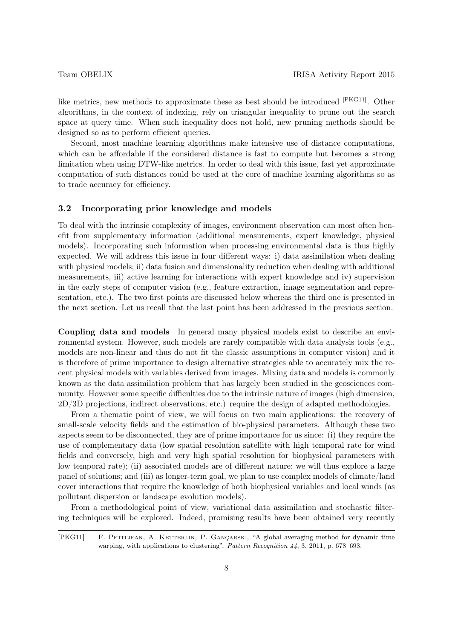like metrics, new methods to approximate these as best should be introduced [PKG11]. Other algorithms, in the context of indexing, rely on triangular inequality to prune out the search space at query time. When such inequality does not hold, new pruning methods should be designed so as to perform efficient queries.

Second, most machine learning algorithms make intensive use of distance computations, which can be affordable if the considered distance is fast to compute but becomes a strong limitation when using DTW-like metrics. In order to deal with this issue, fast yet approximate computation of such distances could be used at the core of machine learning algorithms so as to trade accuracy for efficiency.

#### 3.2 Incorporating prior knowledge and models

To deal with the intrinsic complexity of images, environment observation can most often benefit from supplementary information (additional measurements, expert knowledge, physical models). Incorporating such information when processing environmental data is thus highly expected. We will address this issue in four different ways: i) data assimilation when dealing with physical models; ii) data fusion and dimensionality reduction when dealing with additional measurements, iii) active learning for interactions with expert knowledge and iv) supervision in the early steps of computer vision (e.g., feature extraction, image segmentation and representation, etc.). The two first points are discussed below whereas the third one is presented in the next section. Let us recall that the last point has been addressed in the previous section.

Coupling data and models In general many physical models exist to describe an environmental system. However, such models are rarely compatible with data analysis tools (e.g., models are non-linear and thus do not fit the classic assumptions in computer vision) and it is therefore of prime importance to design alternative strategies able to accurately mix the recent physical models with variables derived from images. Mixing data and models is commonly known as the data assimilation problem that has largely been studied in the geosciences community. However some specific difficulties due to the intrinsic nature of images (high dimension, 2D/3D projections, indirect observations, etc.) require the design of adapted methodologies.

From a thematic point of view, we will focus on two main applications: the recovery of small-scale velocity fields and the estimation of bio-physical parameters. Although these two aspects seem to be disconnected, they are of prime importance for us since: (i) they require the use of complementary data (low spatial resolution satellite with high temporal rate for wind fields and conversely, high and very high spatial resolution for biophysical parameters with low temporal rate); (ii) associated models are of different nature; we will thus explore a large panel of solutions; and (iii) as longer-term goal, we plan to use complex models of climate/land cover interactions that require the knowledge of both biophysical variables and local winds (as pollutant dispersion or landscape evolution models).

From a methodological point of view, variational data assimilation and stochastic filtering techniques will be explored. Indeed, promising results have been obtained very recently

<sup>[</sup>PKG11] F. PETITJEAN, A. KETTERLIN, P. GANÇARSKI, "A global averaging method for dynamic time warping, with applications to clustering", Pattern Recognition 44, 3, 2011, p. 678–693.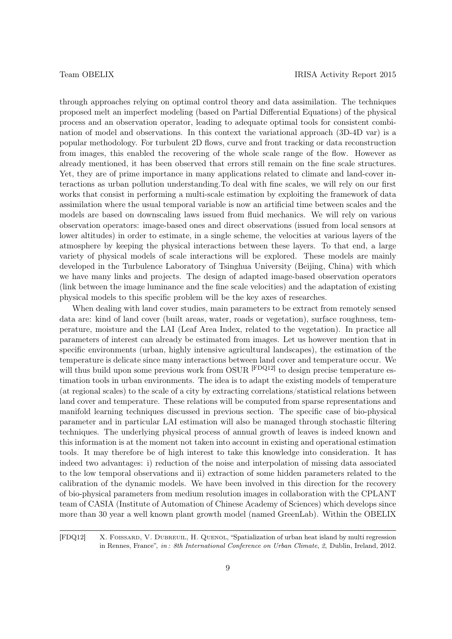through approaches relying on optimal control theory and data assimilation. The techniques proposed melt an imperfect modeling (based on Partial Differential Equations) of the physical process and an observation operator, leading to adequate optimal tools for consistent combination of model and observations. In this context the variational approach (3D-4D var) is a popular methodology. For turbulent 2D flows, curve and front tracking or data reconstruction from images, this enabled the recovering of the whole scale range of the flow. However as already mentioned, it has been observed that errors still remain on the fine scale structures. Yet, they are of prime importance in many applications related to climate and land-cover interactions as urban pollution understanding.To deal with fine scales, we will rely on our first works that consist in performing a multi-scale estimation by exploiting the framework of data assimilation where the usual temporal variable is now an artificial time between scales and the models are based on downscaling laws issued from fluid mechanics. We will rely on various observation operators: image-based ones and direct observations (issued from local sensors at lower altitudes) in order to estimate, in a single scheme, the velocities at various layers of the atmosphere by keeping the physical interactions between these layers. To that end, a large variety of physical models of scale interactions will be explored. These models are mainly developed in the Turbulence Laboratory of Tsinghua University (Beijing, China) with which we have many links and projects. The design of adapted image-based observation operators (link between the image luminance and the fine scale velocities) and the adaptation of existing physical models to this specific problem will be the key axes of researches.

When dealing with land cover studies, main parameters to be extract from remotely sensed data are: kind of land cover (built areas, water, roads or vegetation), surface roughness, temperature, moisture and the LAI (Leaf Area Index, related to the vegetation). In practice all parameters of interest can already be estimated from images. Let us however mention that in specific environments (urban, highly intensive agricultural landscapes), the estimation of the temperature is delicate since many interactions between land cover and temperature occur. We will thus build upon some previous work from OSUR <sup>[FDQ12]</sup> to design precise temperature estimation tools in urban environments. The idea is to adapt the existing models of temperature (at regional scales) to the scale of a city by extracting correlations/statistical relations between land cover and temperature. These relations will be computed from sparse representations and manifold learning techniques discussed in previous section. The specific case of bio-physical parameter and in particular LAI estimation will also be managed through stochastic filtering techniques. The underlying physical process of annual growth of leaves is indeed known and this information is at the moment not taken into account in existing and operational estimation tools. It may therefore be of high interest to take this knowledge into consideration. It has indeed two advantages: i) reduction of the noise and interpolation of missing data associated to the low temporal observations and ii) extraction of some hidden parameters related to the calibration of the dynamic models. We have been involved in this direction for the recovery of bio-physical parameters from medium resolution images in collaboration with the CPLANT team of CASIA (Institute of Automation of Chinese Academy of Sciences) which develops since more than 30 year a well known plant growth model (named GreenLab). Within the OBELIX

[FDQ12] X. Foissard, V. Dubreuil, H. Quenol, "Spatialization of urban heat island by multi regression in Rennes, France", in : 8th International Conference on Urban Climate, 2, Dublin, Ireland, 2012.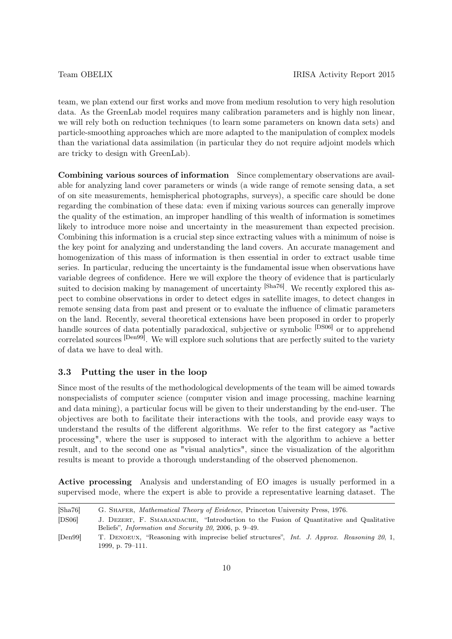team, we plan extend our first works and move from medium resolution to very high resolution data. As the GreenLab model requires many calibration parameters and is highly non linear, we will rely both on reduction techniques (to learn some parameters on known data sets) and particle-smoothing approaches which are more adapted to the manipulation of complex models than the variational data assimilation (in particular they do not require adjoint models which are tricky to design with GreenLab).

Combining various sources of information Since complementary observations are available for analyzing land cover parameters or winds (a wide range of remote sensing data, a set of on site measurements, hemispherical photographs, surveys), a specific care should be done regarding the combination of these data: even if mixing various sources can generally improve the quality of the estimation, an improper handling of this wealth of information is sometimes likely to introduce more noise and uncertainty in the measurement than expected precision. Combining this information is a crucial step since extracting values with a minimum of noise is the key point for analyzing and understanding the land covers. An accurate management and homogenization of this mass of information is then essential in order to extract usable time series. In particular, reducing the uncertainty is the fundamental issue when observations have variable degrees of confidence. Here we will explore the theory of evidence that is particularly suited to decision making by management of uncertainty [Sha76]. We recently explored this aspect to combine observations in order to detect edges in satellite images, to detect changes in remote sensing data from past and present or to evaluate the influence of climatic parameters on the land. Recently, several theoretical extensions have been proposed in order to properly handle sources of data potentially paradoxical, subjective or symbolic <sup>[DS06]</sup> or to apprehend correlated sources <sup>[Den99]</sup>. We will explore such solutions that are perfectly suited to the variety of data we have to deal with.

### 3.3 Putting the user in the loop

Since most of the results of the methodological developments of the team will be aimed towards nonspecialists of computer science (computer vision and image processing, machine learning and data mining), a particular focus will be given to their understanding by the end-user. The objectives are both to facilitate their interactions with the tools, and provide easy ways to understand the results of the different algorithms. We refer to the first category as "active processing", where the user is supposed to interact with the algorithm to achieve a better result, and to the second one as "visual analytics", since the visualization of the algorithm results is meant to provide a thorough understanding of the observed phenomenon.

Active processing Analysis and understanding of EO images is usually performed in a supervised mode, where the expert is able to provide a representative learning dataset. The

| [Sha76] | G. SHAFER, <i>Mathematical Theory of Evidence</i> , Princeton University Press, 1976.                                                                   |
|---------|---------------------------------------------------------------------------------------------------------------------------------------------------------|
| [DS06]  | J. DEZERT, F. SMARANDACHE, "Introduction to the Fusion of Quantitative and Qualitative<br>Beliefs", <i>Information and Security 20</i> , 2006, p. 9–49. |
| [Den99] | T. DENOEUX, "Reasoning with imprecise belief structures", Int. J. Approx. Reasoning 20, 1.<br>1999, p. $79-111$ .                                       |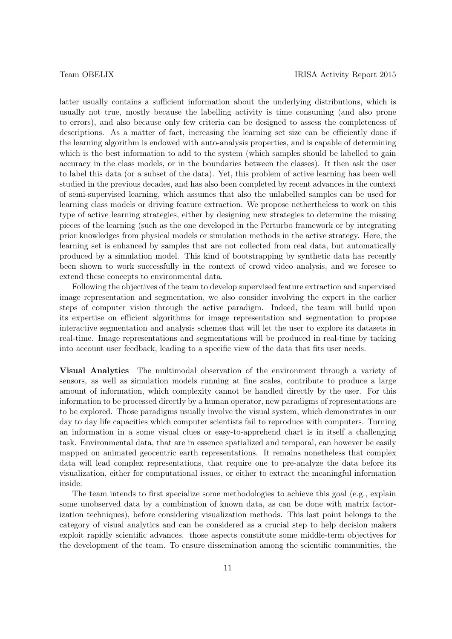latter usually contains a sufficient information about the underlying distributions, which is usually not true, mostly because the labelling activity is time consuming (and also prone to errors), and also because only few criteria can be designed to assess the completeness of descriptions. As a matter of fact, increasing the learning set size can be efficiently done if the learning algorithm is endowed with auto-analysis properties, and is capable of determining which is the best information to add to the system (which samples should be labelled to gain accuracy in the class models, or in the boundaries between the classes). It then ask the user to label this data (or a subset of the data). Yet, this problem of active learning has been well studied in the previous decades, and has also been completed by recent advances in the context of semi-supervised learning, which assumes that also the unlabelled samples can be used for learning class models or driving feature extraction. We propose nethertheless to work on this type of active learning strategies, either by designing new strategies to determine the missing pieces of the learning (such as the one developed in the Perturbo framework or by integrating prior knowledges from physical models or simulation methods in the active strategy. Here, the learning set is enhanced by samples that are not collected from real data, but automatically produced by a simulation model. This kind of bootstrapping by synthetic data has recently been shown to work successfully in the context of crowd video analysis, and we foresee to extend these concepts to environmental data.

Following the objectives of the team to develop supervised feature extraction and supervised image representation and segmentation, we also consider involving the expert in the earlier steps of computer vision through the active paradigm. Indeed, the team will build upon its expertise on efficient algorithms for image representation and segmentation to propose interactive segmentation and analysis schemes that will let the user to explore its datasets in real-time. Image representations and segmentations will be produced in real-time by tacking into account user feedback, leading to a specific view of the data that fits user needs.

Visual Analytics The multimodal observation of the environment through a variety of sensors, as well as simulation models running at fine scales, contribute to produce a large amount of information, which complexity cannot be handled directly by the user. For this information to be processed directly by a human operator, new paradigms of representations are to be explored. Those paradigms usually involve the visual system, which demonstrates in our day to day life capacities which computer scientists fail to reproduce with computers. Turning an information in a some visual clues or easy-to-apprehend chart is in itself a challenging task. Environmental data, that are in essence spatialized and temporal, can however be easily mapped on animated geocentric earth representations. It remains nonetheless that complex data will lead complex representations, that require one to pre-analyze the data before its visualization, either for computational issues, or either to extract the meaningful information inside.

The team intends to first specialize some methodologies to achieve this goal (e.g., explain some unobserved data by a combination of known data, as can be done with matrix factorization techniques), before considering visualization methods. This last point belongs to the category of visual analytics and can be considered as a crucial step to help decision makers exploit rapidly scientific advances. those aspects constitute some middle-term objectives for the development of the team. To ensure dissemination among the scientific communities, the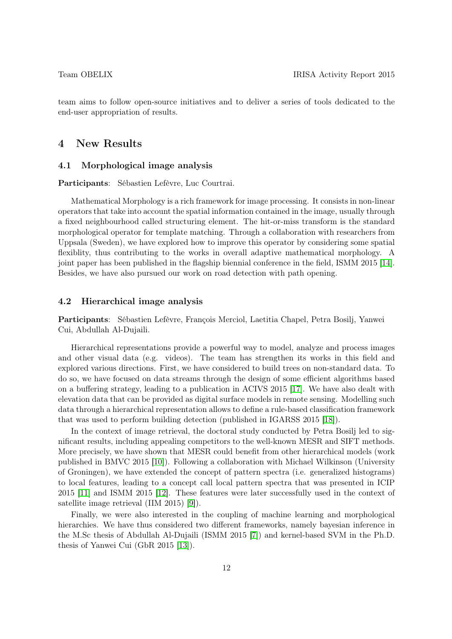team aims to follow open-source initiatives and to deliver a series of tools dedicated to the end-user appropriation of results.

# 4 New Results

#### 4.1 Morphological image analysis

Participants: Sébastien Lefèvre, Luc Courtrai.

Mathematical Morphology is a rich framework for image processing. It consists in non-linear operators that take into account the spatial information contained in the image, usually through a fixed neighbourhood called structuring element. The hit-or-miss transform is the standard morphological operator for template matching. Through a collaboration with researchers from Uppsala (Sweden), we have explored how to improve this operator by considering some spatial flexiblity, thus contributing to the works in overall adaptive mathematical morphology. A joint paper has been published in the flagship biennial conference in the field, ISMM 2015 [\[14\]](#page-19-0). Besides, we have also pursued our work on road detection with path opening.

### 4.2 Hierarchical image analysis

Participants: Sébastien Lefèvre, François Merciol, Laetitia Chapel, Petra Bosilj, Yanwei Cui, Abdullah Al-Dujaili.

Hierarchical representations provide a powerful way to model, analyze and process images and other visual data (e.g. videos). The team has strengthen its works in this field and explored various directions. First, we have considered to build trees on non-standard data. To do so, we have focused on data streams through the design of some efficient algorithms based on a buffering strategy, leading to a publication in ACIVS 2015 [\[17\]](#page-19-1). We have also dealt with elevation data that can be provided as digital surface models in remote sensing. Modelling such data through a hierarchical representation allows to define a rule-based classification framework that was used to perform building detection (published in IGARSS 2015 [\[18\]](#page-19-2)).

In the context of image retrieval, the doctoral study conducted by Petra Bosilj led to significant results, including appealing competitors to the well-known MESR and SIFT methods. More precisely, we have shown that MESR could benefit from other hierarchical models (work published in BMVC 2015 [\[10\]](#page-18-0)). Following a collaboration with Michael Wilkinson (University of Groningen), we have extended the concept of pattern spectra (i.e. generalized histograms) to local features, leading to a concept call local pattern spectra that was presented in ICIP 2015 [\[11\]](#page-19-3) and ISMM 2015 [\[12\]](#page-19-4). These features were later successfully used in the context of satellite image retrieval (IIM 2015) [\[9\]](#page-18-1)).

Finally, we were also interested in the coupling of machine learning and morphological hierarchies. We have thus considered two different frameworks, namely bayesian inference in the M.Sc thesis of Abdullah Al-Dujaili (ISMM 2015 [\[7\]](#page-18-2)) and kernel-based SVM in the Ph.D. thesis of Yanwei Cui (GbR 2015 [\[13\]](#page-19-5)).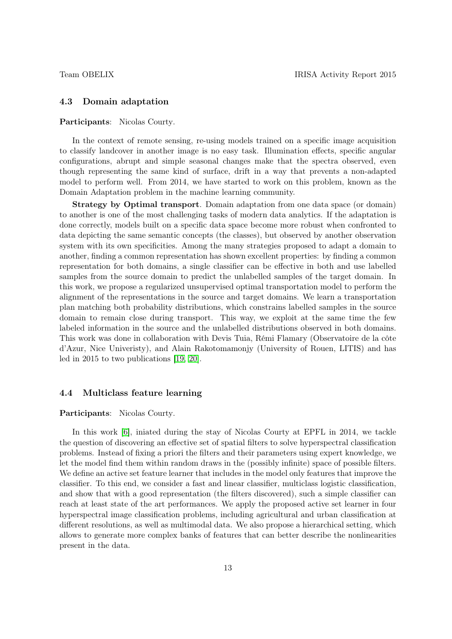#### 4.3 Domain adaptation

### Participants: Nicolas Courty.

In the context of remote sensing, re-using models trained on a specific image acquisition to classify landcover in another image is no easy task. Illumination effects, specific angular configurations, abrupt and simple seasonal changes make that the spectra observed, even though representing the same kind of surface, drift in a way that prevents a non-adapted model to perform well. From 2014, we have started to work on this problem, known as the Domain Adaptation problem in the machine learning community.

Strategy by Optimal transport. Domain adaptation from one data space (or domain) to another is one of the most challenging tasks of modern data analytics. If the adaptation is done correctly, models built on a specific data space become more robust when confronted to data depicting the same semantic concepts (the classes), but observed by another observation system with its own specificities. Among the many strategies proposed to adapt a domain to another, finding a common representation has shown excellent properties: by finding a common representation for both domains, a single classifier can be effective in both and use labelled samples from the source domain to predict the unlabelled samples of the target domain. In this work, we propose a regularized unsupervised optimal transportation model to perform the alignment of the representations in the source and target domains. We learn a transportation plan matching both probability distributions, which constrains labelled samples in the source domain to remain close during transport. This way, we exploit at the same time the few labeled information in the source and the unlabelled distributions observed in both domains. This work was done in collaboration with Devis Tuia, Rémi Flamary (Observatoire de la côte d'Azur, Nice Univeristy), and Alain Rakotomamonjy (University of Rouen, LITIS) and has led in 2015 to two publications [\[19,](#page-19-6) [20\]](#page-19-7).

### 4.4 Multiclass feature learning

#### Participants: Nicolas Courty.

In this work [\[6\]](#page-18-3), iniated during the stay of Nicolas Courty at EPFL in 2014, we tackle the question of discovering an effective set of spatial filters to solve hyperspectral classification problems. Instead of fixing a priori the filters and their parameters using expert knowledge, we let the model find them within random draws in the (possibly infinite) space of possible filters. We define an active set feature learner that includes in the model only features that improve the classifier. To this end, we consider a fast and linear classifier, multiclass logistic classification, and show that with a good representation (the filters discovered), such a simple classifier can reach at least state of the art performances. We apply the proposed active set learner in four hyperspectral image classification problems, including agricultural and urban classification at different resolutions, as well as multimodal data. We also propose a hierarchical setting, which allows to generate more complex banks of features that can better describe the nonlinearities present in the data.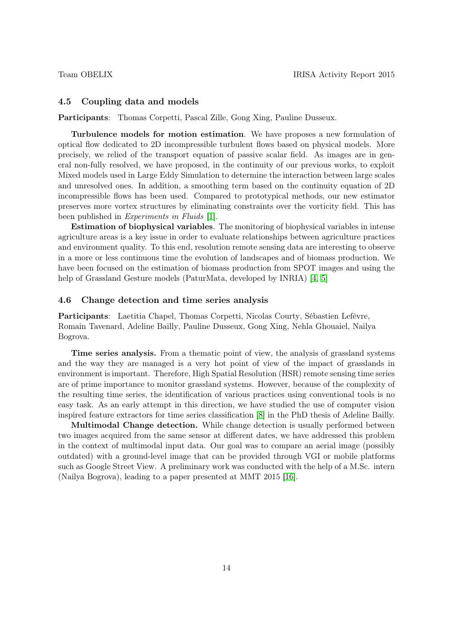#### 4.5 Coupling data and models

Participants: Thomas Corpetti, Pascal Zille, Gong Xing, Pauline Dusseux.

Turbulence models for motion estimation. We have proposes a new formulation of optical flow dedicated to 2D incompressible turbulent flows based on physical models. More precisely, we relied of the transport equation of passive scalar field. As images are in general non-fully resolved, we have proposed, in the continuity of our previous works, to exploit Mixed models used in Large Eddy Simulation to determine the interaction between large scales and unresolved ones. In addition, a smoothing term based on the continuity equation of 2D incompressible flows has been used. Compared to prototypical methods, our new estimator preserves more vortex structures by eliminating constraints over the vorticity field. This has been published in Experiments in Fluids [\[1\]](#page-18-4).

Estimation of biophysical variables. The monitoring of biophysical variables in intense agriculture areas is a key issue in order to evaluate relationships between agriculture practices and environment quality. To this end, resolution remote sensing data are interesting to observe in a more or less continuous time the evolution of landscapes and of biomass production. We have been focused on the estimation of biomass production from SPOT images and using the help of Grassland Gesture models (PaturMata, developed by INRIA) [\[4,](#page-18-5) [5\]](#page-18-6)

#### 4.6 Change detection and time series analysis

Participants: Laetitia Chapel, Thomas Corpetti, Nicolas Courty, Sébastien Lefèvre, Romain Tavenard, Adeline Bailly, Pauline Dusseux, Gong Xing, Nehla Ghouaiel, Nailya Bogrova.

Time series analysis. From a thematic point of view, the analysis of grassland systems and the way they are managed is a very hot point of view of the impact of grasslands in environment is important. Therefore, High Spatial Resolution (HSR) remote sensing time series are of prime importance to monitor grassland systems. However, because of the complexity of the resulting time series, the identification of various practices using conventional tools is no easy task. As an early attempt in this direction, we have studied the use of computer vision inspired feature extractors for time series classification [\[8\]](#page-18-7) in the PhD thesis of Adeline Bailly.

Multimodal Change detection. While change detection is usually performed between two images acquired from the same sensor at different dates, we have addressed this problem in the context of multimodal input data. Our goal was to compare an aerial image (possibly outdated) with a ground-level image that can be provided through VGI or mobile platforms such as Google Street View. A preliminary work was conducted with the help of a M.Sc. intern (Nailya Bogrova), leading to a paper presented at MMT 2015 [\[16\]](#page-19-8).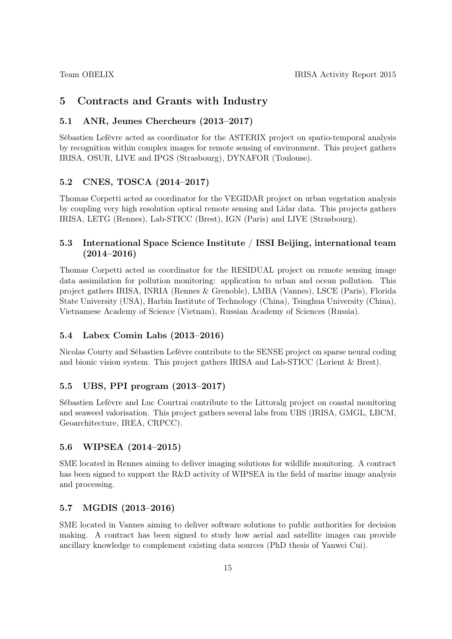# 5 Contracts and Grants with Industry

# 5.1 ANR, Jeunes Chercheurs (2013–2017)

Sébastien Lefèvre acted as coordinator for the ASTERIX project on spatio-temporal analysis by recognition within complex images for remote sensing of environment. This project gathers IRISA, OSUR, LIVE and IPGS (Strasbourg), DYNAFOR (Toulouse).

# 5.2 CNES, TOSCA (2014–2017)

Thomas Corpetti acted as coordinator for the VEGIDAR project on urban vegetation analysis by coupling very high resolution optical remote sensing and Lidar data. This projects gathers IRISA, LETG (Rennes), Lab-STICC (Brest), IGN (Paris) and LIVE (Strasbourg).

# 5.3 International Space Science Institute / ISSI Beijing, international team  $(2014 - 2016)$

Thomas Corpetti acted as coordinator for the RESIDUAL project on remote sensing image data assimilation for pollution monitoring: application to urban and ocean pollution. This project gathers IRISA, INRIA (Rennes & Grenoble), LMBA (Vannes), LSCE (Paris), Florida State University (USA), Harbin Institute of Technology (China), Tsinghua University (China), Vietnamese Academy of Science (Vietnam), Russian Academy of Sciences (Russia).

# 5.4 Labex Comin Labs (2013–2016)

Nicolas Courty and Sébastien Lefèvre contribute to the SENSE project on sparse neural coding and bionic vision system. This project gathers IRISA and Lab-STICC (Lorient & Brest).

# 5.5 UBS, PPI program (2013–2017)

Sébastien Lefèvre and Luc Courtrai contribute to the Littoralg project on coastal monitoring and seaweed valorisation. This project gathers several labs from UBS (IRISA, GMGL, LBCM, Geoarchitecture, IREA, CRPCC).

# 5.6 WIPSEA (2014–2015)

SME located in Rennes aiming to deliver imaging solutions for wildlife monitoring. A contract has been signed to support the R&D activity of WIPSEA in the field of marine image analysis and processing.

### 5.7 MGDIS (2013–2016)

SME located in Vannes aiming to deliver software solutions to public authorities for decision making. A contract has been signed to study how aerial and satellite images can provide ancillary knowledge to complement existing data sources (PhD thesis of Yanwei Cui).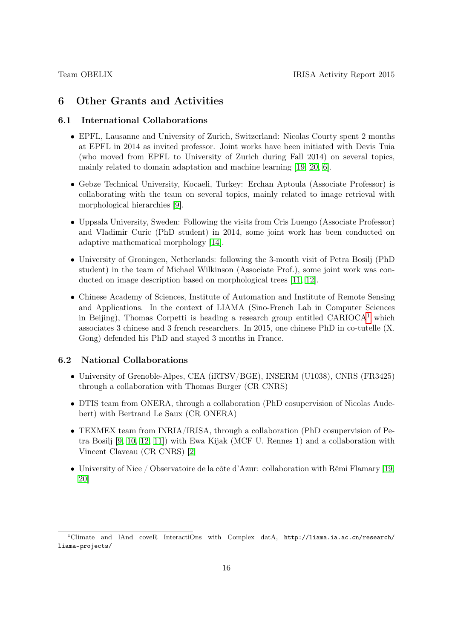# 6 Other Grants and Activities

### 6.1 International Collaborations

- EPFL, Lausanne and University of Zurich, Switzerland: Nicolas Courty spent 2 months at EPFL in 2014 as invited professor. Joint works have been initiated with Devis Tuia (who moved from EPFL to University of Zurich during Fall 2014) on several topics, mainly related to domain adaptation and machine learning [\[19,](#page-19-6) [20,](#page-19-7) [6\]](#page-18-3).
- Gebze Technical University, Kocaeli, Turkey: Erchan Aptoula (Associate Professor) is collaborating with the team on several topics, mainly related to image retrieval with morphological hierarchies [\[9\]](#page-18-1).
- Uppsala University, Sweden: Following the visits from Cris Luengo (Associate Professor) and Vladimir Curic (PhD student) in 2014, some joint work has been conducted on adaptive mathematical morphology [\[14\]](#page-19-0).
- University of Groningen, Netherlands: following the 3-month visit of Petra Bosilj (PhD student) in the team of Michael Wilkinson (Associate Prof.), some joint work was conducted on image description based on morphological trees [\[11,](#page-19-3) [12\]](#page-19-4).
- Chinese Academy of Sciences, Institute of Automation and Institute of Remote Sensing and Applications. In the context of LIAMA (Sino-French Lab in Computer Sciences in Beijing), Thomas Corpetti is heading a research group entitled  $CARIOCA<sup>1</sup>$  $CARIOCA<sup>1</sup>$  $CARIOCA<sup>1</sup>$  which associates 3 chinese and 3 french researchers. In 2015, one chinese PhD in co-tutelle (X. Gong) defended his PhD and stayed 3 months in France.

### 6.2 National Collaborations

- University of Grenoble-Alpes, CEA (iRTSV/BGE), INSERM (U1038), CNRS (FR3425) through a collaboration with Thomas Burger (CR CNRS)
- DTIS team from ONERA, through a collaboration (PhD cosupervision of Nicolas Audebert) with Bertrand Le Saux (CR ONERA)
- TEXMEX team from INRIA/IRISA, through a collaboration (PhD cosupervision of Petra Bosilj [\[9,](#page-18-1) [10,](#page-18-0) [12,](#page-19-4) [11\]](#page-19-3)) with Ewa Kijak (MCF U. Rennes 1) and a collaboration with Vincent Claveau (CR CNRS) [\[2\]](#page-18-8)
- University of Nice / Observatoire de la côte d'Azur: collaboration with Rémi Flamary [\[19,](#page-19-6) [20\]](#page-19-7)

<span id="page-15-0"></span><sup>&</sup>lt;sup>1</sup>Climate and lAnd coveR InteractiOns with Complex datA, http://liama.ia.ac.cn/research/ liama-projects/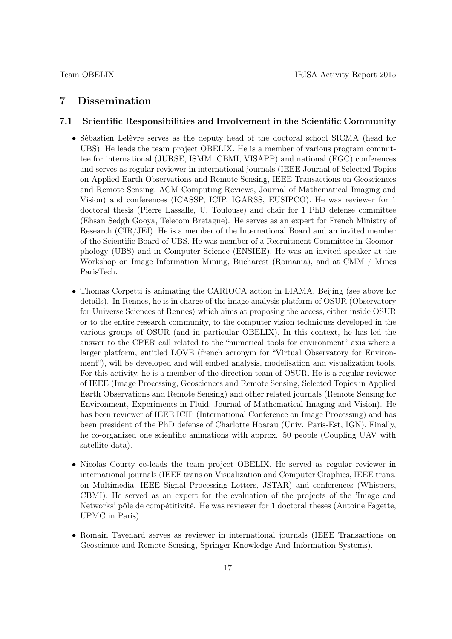# 7 Dissemination

#### 7.1 Scientific Responsibilities and Involvement in the Scientific Community

- Sébastien Lefèvre serves as the deputy head of the doctoral school SICMA (head for UBS). He leads the team project OBELIX. He is a member of various program committee for international (JURSE, ISMM, CBMI, VISAPP) and national (EGC) conferences and serves as regular reviewer in international journals (IEEE Journal of Selected Topics on Applied Earth Observations and Remote Sensing, IEEE Transactions on Geosciences and Remote Sensing, ACM Computing Reviews, Journal of Mathematical Imaging and Vision) and conferences (ICASSP, ICIP, IGARSS, EUSIPCO). He was reviewer for 1 doctoral thesis (Pierre Lassalle, U. Toulouse) and chair for 1 PhD defense committee (Ehsan Sedgh Gooya, Telecom Bretagne). He serves as an expert for French Ministry of Research (CIR/JEI). He is a member of the International Board and an invited member of the Scientific Board of UBS. He was member of a Recruitment Committee in Geomorphology (UBS) and in Computer Science (ENSIEE). He was an invited speaker at the Workshop on Image Information Mining, Bucharest (Romania), and at CMM / Mines ParisTech.
- Thomas Corpetti is animating the CARIOCA action in LIAMA, Beijing (see above for details). In Rennes, he is in charge of the image analysis platform of OSUR (Observatory for Universe Sciences of Rennes) which aims at proposing the access, either inside OSUR or to the entire research community, to the computer vision techniques developed in the various groups of OSUR (and in particular OBELIX). In this context, he has led the answer to the CPER call related to the "numerical tools for environment" axis where a larger platform, entitled LOVE (french acronym for "Virtual Observatory for Environment"), will be developed and will embed analysis, modelisation and visualization tools. For this activity, he is a member of the direction team of OSUR. He is a regular reviewer of IEEE (Image Processing, Geosciences and Remote Sensing, Selected Topics in Applied Earth Observations and Remote Sensing) and other related journals (Remote Sensing for Environment, Experiments in Fluid, Journal of Mathematical Imaging and Vision). He has been reviewer of IEEE ICIP (International Conference on Image Processing) and has been president of the PhD defense of Charlotte Hoarau (Univ. Paris-Est, IGN). Finally, he co-organized one scientific animations with approx. 50 people (Coupling UAV with satellite data).
- Nicolas Courty co-leads the team project OBELIX. He served as regular reviewer in international journals (IEEE trans on Visualization and Computer Graphics, IEEE trans. on Multimedia, IEEE Signal Processing Letters, JSTAR) and conferences (Whispers, CBMI). He served as an expert for the evaluation of the projects of the 'Image and Networks' pôle de compétitivité. He was reviewer for 1 doctoral theses (Antoine Fagette, UPMC in Paris).
- Romain Tavenard serves as reviewer in international journals (IEEE Transactions on Geoscience and Remote Sensing, Springer Knowledge And Information Systems).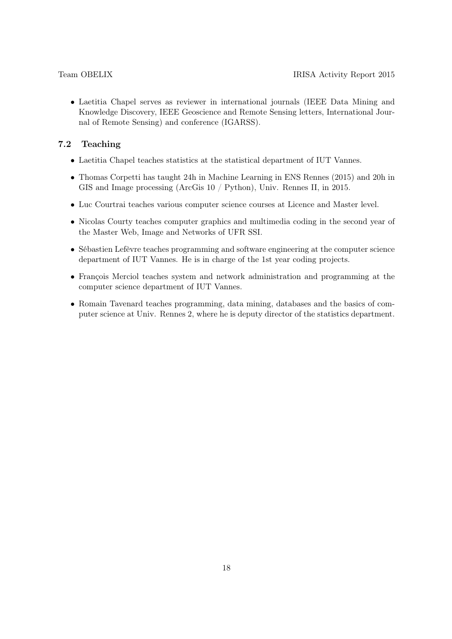• Laetitia Chapel serves as reviewer in international journals (IEEE Data Mining and Knowledge Discovery, IEEE Geoscience and Remote Sensing letters, International Journal of Remote Sensing) and conference (IGARSS).

### 7.2 Teaching

- Laetitia Chapel teaches statistics at the statistical department of IUT Vannes.
- Thomas Corpetti has taught 24h in Machine Learning in ENS Rennes (2015) and 20h in GIS and Image processing (ArcGis 10 / Python), Univ. Rennes II, in 2015.
- Luc Courtrai teaches various computer science courses at Licence and Master level.
- Nicolas Courty teaches computer graphics and multimedia coding in the second year of the Master Web, Image and Networks of UFR SSI.
- Sébastien Lefèvre teaches programming and software engineering at the computer science department of IUT Vannes. He is in charge of the 1st year coding projects.
- François Merciol teaches system and network administration and programming at the computer science department of IUT Vannes.
- Romain Tavenard teaches programming, data mining, databases and the basics of computer science at Univ. Rennes 2, where he is deputy director of the statistics department.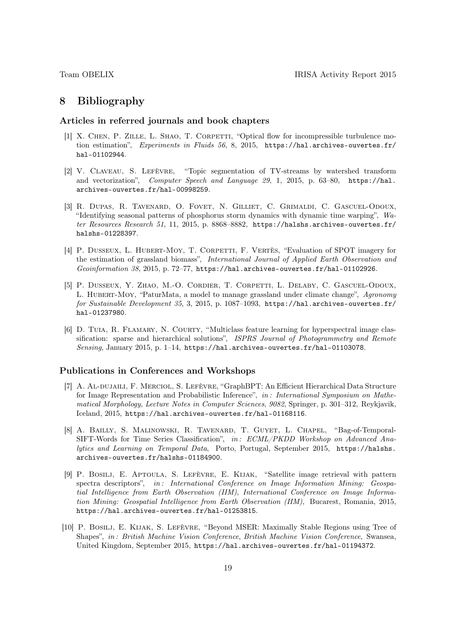# 8 Bibliography

#### Articles in referred journals and book chapters

- <span id="page-18-4"></span>[1] X. CHEN, P. ZILLE, L. SHAO, T. CORPETTI, "Optical flow for incompressible turbulence motion estimation", Experiments in Fluids 56, 8, 2015, https://hal.archives-ouvertes.fr/ hal-01102944.
- <span id="page-18-8"></span>[2] V. Claveau, S. Lefèvre, "Topic segmentation of TV-streams by watershed transform and vectorization", Computer Speech and Language 29, 1, 2015, p. 63–80, https://hal. archives-ouvertes.fr/hal-00998259.
- [3] R. Dupas, R. Tavenard, O. Fovet, N. Gilliet, C. Grimaldi, C. Gascuel-Odoux, "Identifying seasonal patterns of phosphorus storm dynamics with dynamic time warping", Water Resources Research 51, 11, 2015, p. 8868-8882, https://halshs.archives-ouvertes.fr/ halshs-01228397.
- <span id="page-18-5"></span>[4] P. Dusseux, L. Hubert-Moy, T. Corpetti, F. Vertès, "Evaluation of SPOT imagery for the estimation of grassland biomass", International Journal of Applied Earth Observation and Geoinformation 38, 2015, p. 72-77, https://hal.archives-ouvertes.fr/hal-01102926.
- <span id="page-18-6"></span>[5] P. Dusseux, Y. Zhao, M.-O. Cordier, T. Corpetti, L. Delaby, C. Gascuel-Odoux, L. HUBERT-MOY, "PaturMata, a model to manage grassland under climate change", Agronomy for Sustainable Development 35, 3, 2015, p. 1087–1093, https://hal.archives-ouvertes.fr/ hal-01237980.
- <span id="page-18-3"></span>[6] D. Tuia, R. Flamary, N. Courty, "Multiclass feature learning for hyperspectral image classification: sparse and hierarchical solutions", *ISPRS Journal of Photogrammetry and Remote* Sensing, January 2015, p. 1–14, https://hal.archives-ouvertes.fr/hal-01103078.

#### Publications in Conferences and Workshops

- <span id="page-18-2"></span>[7] A. Al-dujaili, F. Merciol, S. Lefèvre, "GraphBPT: An Efficient Hierarchical Data Structure for Image Representation and Probabilistic Inference", in: International Symposium on Mathematical Morphology, Lecture Notes in Computer Sciences, 9082, Springer, p. 301–312, Reykjavik, Iceland, 2015, https://hal.archives-ouvertes.fr/hal-01168116.
- <span id="page-18-7"></span>[8] A. Bailly, S. Malinowski, R. Tavenard, T. Guyet, L. Chapel, "Bag-of-Temporal-SIFT-Words for Time Series Classification", in: ECML/PKDD Workshop on Advanced Analytics and Learning on Temporal Data, Porto, Portugal, September 2015, https://halshs. archives-ouvertes.fr/halshs-01184900.
- <span id="page-18-1"></span>[9] P. Bosilj, E. Aptoula, S. Lefèvre, E. Kijak, "Satellite image retrieval with pattern spectra descriptors", in: International Conference on Image Information Mining: Geospatial Intelligence from Earth Observation (IIM), International Conference on Image Information Mining: Geospatial Intelligence from Earth Observation (IIM), Bucarest, Romania, 2015, https://hal.archives-ouvertes.fr/hal-01253815.
- <span id="page-18-0"></span>[10] P. Bosilj, E. Kijak, S. Lefèvre, "Beyond MSER: Maximally Stable Regions using Tree of Shapes", in : British Machine Vision Conference, British Machine Vision Conference, Swansea, United Kingdom, September 2015, https://hal.archives-ouvertes.fr/hal-01194372.